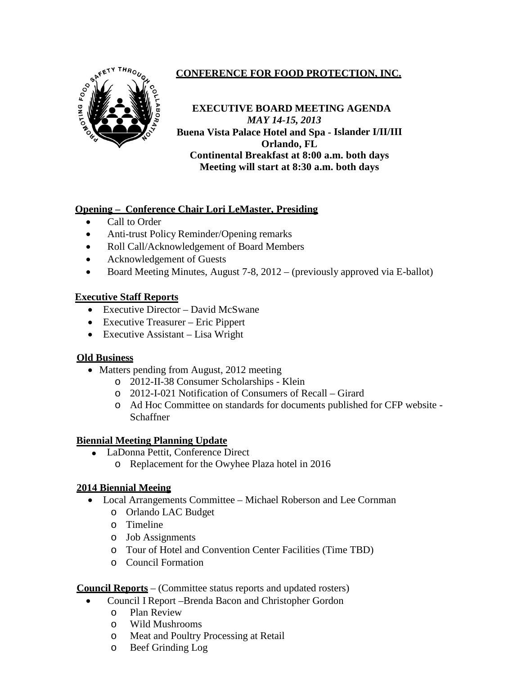

# **CONFERENCE FOR FOOD PROTECTION, INC.**

**EXECUTIVE BOARD MEETING AGENDA**  *MAY 14-15, 2013* **Buena Vista Palace Hotel and Spa - Islander I/II/III Orlando, FL Continental Breakfast at 8:00 a.m. both days Meeting will start at 8:30 a.m. both days**

## **Opening – Conference Chair Lori LeMaster, Presiding**

- Call to Order
- Anti-trust Policy Reminder/Opening remarks
- Roll Call/Acknowledgement of Board Members
- Acknowledgement of Guests
- Board Meeting Minutes, August 7-8, 2012 (previously approved via E-ballot)

### **Executive Staff Reports**

- Executive Director David McSwane
- Executive Treasurer Eric Pippert
- Executive Assistant Lisa Wright

#### **Old Business**

- Matters pending from August, 2012 meeting
	- o 2012-II-38 Consumer Scholarships Klein
	- o 2012-I-021 Notification of Consumers of Recall Girard
	- o Ad Hoc Committee on standards for documents published for CFP website Schaffner

#### **Biennial Meeting Planning Update**

- LaDonna Pettit, Conference Direct
	- o Replacement for the Owyhee Plaza hotel in 2016

#### **2014 Biennial Meeing**

- Local Arrangements Committee Michael Roberson and Lee Cornman
	- o Orlando LAC Budget
	- o Timeline
	- o Job Assignments
	- o Tour of Hotel and Convention Center Facilities (Time TBD)
	- o Council Formation

**Council Reports** – (Committee status reports and updated rosters)

- Council I Report –Brenda Bacon and Christopher Gordon
	- o Plan Review
	- o Wild Mushrooms
	- o Meat and Poultry Processing at Retail<br>
	o Beef Grinding Log
	- Beef Grinding Log